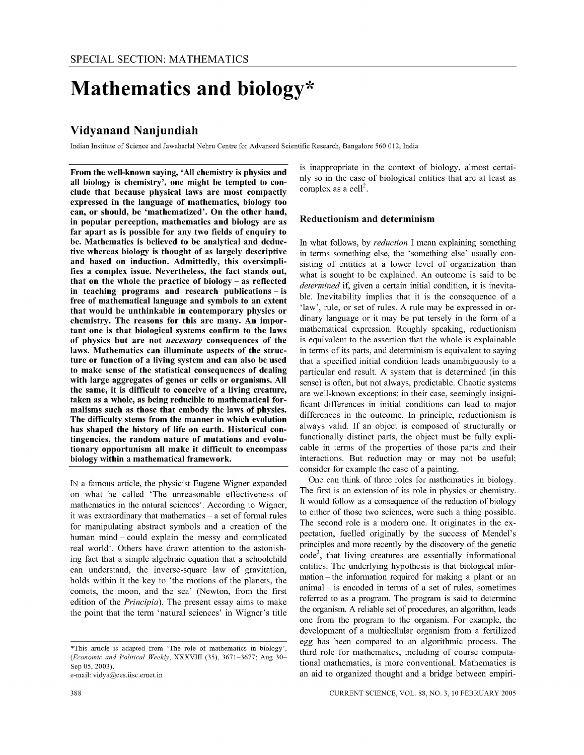# **Mathematics and biology\***

# **Vidyanand Nanjundiah**

Indian Institute of Science and Iawaharlal Nehru Centre for Advanced Scientific Research, Bangalore 560 012, India

From the well-known saying, 'All chemistry is physics and all biology is chemistry', one might be tempted to conclude that because physical laws are most compactly expressed in the language of mathematics, biology too can, or should, be 'mathematized'. On the other hand, in popular perception, mathematics and biology are as far apart as is possible for any two fields of enquiry to be. Mathematics is believed to be analytical and deductive whereas biology is thought of as largely descriptive and based on induction. Admittedly, this oversimplifies a complex issue. Nevertheless, the fact stands out, that on the whole the practice of biology  $-$  as reflected in teaching programs and research publications - is free of mathematical language and symbols to an extent that would be unthinkable in contemporary physics or chemistry. The reasons for this are many. An important one is that biological systems confirm to the laws of physics but are not *necessary* consequences of the laws. Mathematics can illuminate aspects of the structure or function of a living system and can also be used to make sense of the statistical consequences of dealing with large aggregates of genes or cells or organisms. All the same, it is difficult to conceive of a living creature, taken as a whole, as being reducible to mathematical formalisms such as those that embody the laws of physics. The difficulty stems from the manner in which evolution has shaped the history of life on earth. Historical contingencies, the random nature of mutations and evolutionary opportunism all make it difficult to encompass biology within a mathematical framework.

IN a famous article, the physicist Eugene Wigner expanded on what he called 'The unreasonable effectiveness of mathematics in the natural sciences', According to Wigner, it was extraordinary that mathematics  $-$  a set of formal rules for manipulating abstract symbols and a creation of the human mind - could explain the messy and complicated real world<sup>1</sup>. Others have drawn attention to the astonishing fact that a simple algebraic equation that a schoolchild can understand, the inverse-square law of gravitation, holds within it the key to 'the motions of the planets, the comets, the moon, and the sea' (Newton, from the first edition of the *Principia),* The present essay aims to make the point that the term 'natural sciences' in Wigner's title

e-mail: vidya@ces.iisc.ernet.in

is inappropriate in the context of biology, almost certainly so in the case of biological entities that are at least as complex as a cell<sup>2</sup>.

#### Reductionism and determinism

In what follows, by *reduction* I mean explaining something in terms something else, the 'something else' usually consisting of entities at a lower level of organization than what is sought to be explained. An outcome is said to be *determined* if, given a certain initial condition, it is inevitable. Inevitability implies that it is the consequence of a 'law', rule, or set of rules. A rule may be expressed in ordinary language or it may be put tersely in the form of a mathematical expression. Roughly speaking, reductionism is equivalent to the assertion that the whole is explainable in terms of its parts, and determinism is equivalent to saying that a specified initial condition leads unambiguously to a particular end result. A system that is determined (in this sense) is often, but not always, predictable. Chaotic systems are well-known exceptions: in their case, seemingly insignificant differences in initial conditions can lead to major differences in the outcome. In principle, reductionism is always valid. If an object is composed of structurally or functionally distinct parts, the object must be fully explicable in terms of the properties of those parts and their interactions. But reduction may or may not be useful; consider for example the case of a painting.

One can think of three roles for mathematics in biology. The first is an extension of its role in physics or chemistry. It would follow as a consequence of the reduction of biology to either of those two sciences, were such a thing possible. The second role is a modem one. It originates in the expectation, fuelled originally by the success of Mendel's principles and more recently by the discovery of the genetic code<sup>3</sup>, that living creatures are essentially informational entities. The underlying hypothesis is that biological information - the information required for making a plant or an animal - is encoded in terms of a set of rules, sometimes referred to as a program. The program is said to determine the organism. A reliable set of procedures, an algorithm, leads one from the program to the organism. For example, the development of a multicellular organism from a fertilized egg has been compared to an algorithmic process. The third role for mathematics, including of course computational mathematics, is more conventional. Mathematics is an aid to organized thought and a bridge between empiri-

<sup>\*</sup>This article is adapted from 'The role of mathematics in biology', *(Economic and Political Weekly,* XXXVIII (35), 3671-3677; Aug 30- Sep 05, 2003).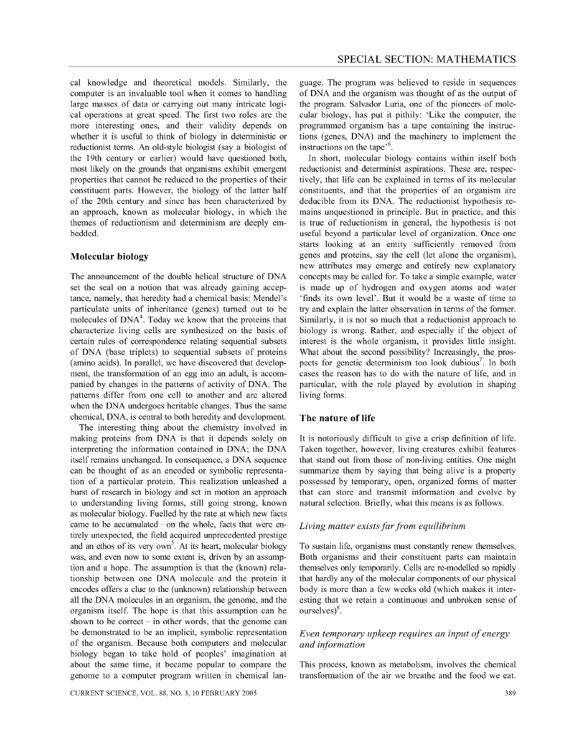cal knowledge and theoretical models. Similarly, the computer is an invaluable tool when it comes to handling large masses of data or carrying out many intricate logical operations at great speed. The first two roles are the more interesting ones, and their validity depends on whether it is useful to think of biology in deterministic or reductionist terms. An old-style biologist (say a biologist of the 19th century or earlier) would have questioned both, most likely on the grounds that organisms exhibit emergent properties that cannot be reduced to the properties of their constituent parts. However, the biology of the latter half of the 20th century and since has been characterized by an approach, known as molecular biology, in which the themes of reductionism and determinism are deeply embedded.

# **Molecular biology**

The announcement of the double helical structure of DNA set the seal on a notion that was already gaining acceptance, namely, that heredity had a chemical basis: Mendel's particulate units of inheritance (genes) turned out to be molecules of  $DNA<sup>4</sup>$ . Today we know that the proteins that characterize living cells are synthesized on the basis of certain rules of correspondence relating sequential subsets of DNA (base triplets) to sequential subsets of proteins (amino acids). In parallel, we have discovered that development, the transformation of an egg into an adult, is accompanied by changes in the patterns of activity of DNA. The patterns differ from one cell to another and are altered when the DNA undergoes heritable changes. Thus the same chemical, DNA, is central to both heredity and development.

The interesting thing about the chemistry involved in making proteins from DNA is that it depends solely on interpreting the information contained in DNA; the DNA itself remains unchanged. In consequence, a DNA sequence can be thought of as an encoded or symbolic representation of a particular protein. This realization unleashed a burst of research in biology and set in motion an approach to understanding living forms, still going strong, known as molecular biology. Fuelled by the rate at which new facts came to be accumulated - on the whole, facts that were entirely unexpected, the field acquired unprecedented prestige and an ethos of its very own<sup>5</sup>. At its heart, molecular biology was, and even now to some extent is, driven by an assumption and a hope. The assumption is that the (known) relationship between one DNA molecule and the protein it encodes offers a clue to the (unknown) relationship between all the DNA molecules in an organism, the genome, and the organism itself. The hope is that this assumption can be shown to be correct  $-\text{in}$  other words, that the genome can be demonstrated to be an implicit, symbolic representation of the organism. Because both computers and molecular biology began to take hold of peoples' imagination at about the same time, it became popular to compare the genome to a computer program written in chemical lan-

guage. The program was believed to reside in sequences of DNA and the organism was thought of as the output of the program. Salvador Luria, one of the pioneers of molecular biology, has put it pithily: 'Like the computer, the programmed organism has a tape containing the instructions (genes, DNA) and the machinery to implement the instructions on the tape<sup> $,6$ </sup>.

In short, molecular biology contains within itself both reductionist and determinist aspirations. These are, respectively, that life can be explained in terms of its molecular constituents, and that the properties of an organism are deducible from its DNA. The reductionist hypothesis remains unquestioned in principle. But in practice, and this is true of reductionism in general, the hypothesis is not useful beyond a particular level of organization. Once one starts looking at an entity sufficiently removed from genes and proteins, say the cell (let alone the organism), new attributes may emerge and entirely new explanatory concepts may be called for. To take a simple example, water is made up of hydrogen and oxygen atoms and water 'finds its own level'. But it would be a waste of time to try and explain the latter observation in terms of the former. Similarly, it is not so much that a reductionist approach to biology is wrong. Rather, and especially if the object of interest is the whole organism, it provides little insight. What about the second possibility? Increasingly, the prospects for genetic determinism too look dubious<sup>7</sup>. In both cases the reason has to do with the nature of life, and in particular, with the role played by evolution in shaping living forms.

#### **The nature of life**

It is notoriously difficult to give a crisp definition of life. Taken together, however, living creatures exhibit features that stand out from those of non-living entities. One might summarize them by saying that being alive is a property possessed by temporary, open, organized forms of matter that can store and transmit information and evolve by natural selection. Briefly, what this means is as follows.

### *Living matter exists far from equilibrium*

To sustain life, organisms must constantly renew themselves. Both organisms and their constituent parts can maintain themselves only temporarily. Cells are re-modelled so rapidly that hardly any of the molecular components of our physical body is more than a few weeks old (which makes it interesting that we retain a continuous and unbroken sense of ourselves $)^8$ .

# *Even temporary upkeep requires an input of energy and information*

This process, known as metabolism, involves the chemical transformation of the air we breathe and the food we eat.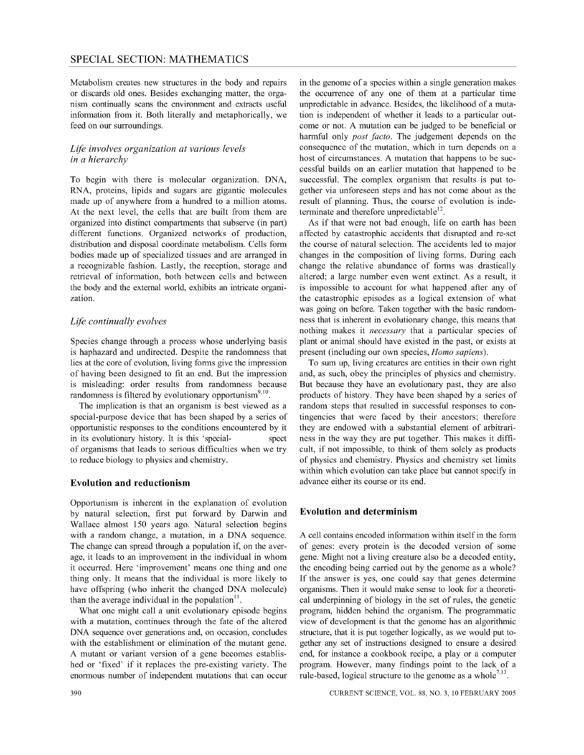Metabolism creates new structures in the body and repairs or discards old ones. Besides exchanging matter, the organism continually scans the environment and extracts useful information from it. Both literally and metaphorically, we feed on our surroundings.

# *Life involves organization at various levels in a hierarchy*

To begin with there is molecular organization. DNA, RNA, proteins, lipids and sugars are gigantic molecules made up of anywhere from a hundred to a million atoms. At the next level, the cells that are built from them are organized into distinct compartments that subserve (in part) different functions. Organized networks of production, distribution and disposal coordinate metabolism. Cells form bodies made up of specialized tissues and are arranged in a recognizable fashion. Lastly, the reception, storage and retrieval of information, both between cells and between the body and the external world, exhibits an intricate organization.

# *Life continually evolves*

Species change through a process whose underlying basis is haphazard and undirected. Despite the randomness that lies at the core of evolution, living forms give the impression of having been designed to fit an end. But the impression is misleading: order results from randomness because randomness is filtered by evolutionary opportunism<sup>9,10</sup>.

The implication is that an organism is best viewed as a special-purpose device that has been shaped by a series of opportunistic responses to the conditions encountered by it in its evolutionary history. It is this 'special- spect of organisms that leads to serious difficulties when we try to reduce biology to physics and chemistry.

#### **Evolution and reductionism**

Opportunism is inherent in the explanation of evolution by natural selection, first put forward by Darwin and Wallace almost 150 years ago. Natural selection begins with a random change, a mutation, in a DNA sequence. The change can spread through a population if, on the average, it leads to an improvement in the individual in whom it occurred. Here 'improvement' means one thing and one thing only. It means that the individual is more likely to have offspring (who inherit the changed DNA molecule) than the average individual in the population $<sup>11</sup>$ .</sup>

What one might call a unit evolutionary episode begins with a mutation, continues through the fate of the altered DNA sequence over generations and, on occasion, concludes with the establishment or elimination of the mutant gene. A mutant or variant version of a gene becomes established or 'fixed' if it replaces the pre-existing variety. The enormous number of independent mutations that can occur in the genome of a species within a single generation makes the occurrence of anyone of them at a particular time unpredictable in advance. Besides, the likelihood of a mutation is independent of whether it leads to a particular outcome or not. A mutation can be judged to be beneficial or harmful only *post facto.* The judgement depends on the consequence of the mutation, which in tum depends on a host of circumstances. A mutation that happens to be successful builds on an earlier mutation that happened to be successful. The complex organism that results is put together via unforeseen steps and has not come about as the result of planning. Thus, the course of evolution is indeterminate and therefore unpredictable $^{12}$ .

As if that were not bad enough, life on earth has been affected by catastrophic accidents that disrupted and re-set the course of natural selection. The accidents led to major changes in the composition of living forms. During each change the relative abundance of forms was drastically altered; a large number even went extinct. As a result, it is impossible to account for what happened after any of the catastrophic episodes as a logical extension of what was going on before. Taken together with the basic randomness that is inherent in evolutionary change, this means that nothing makes it *necessary* that a particular species of plant or animal should have existed in the past, or exists at present (including our own species, *Homo sapiens).* 

To sum up, living creatures are entities in their own right and, as such, obey the principles of physics and chemistry. But because they have an evolutionary past, they are also products of history. They have been shaped by a series of random steps that resulted in successful responses to contingencies that were faced by their ancestors; therefore they are endowed with a substantial element of arbitrariness in the way they are put together. This makes it difficult, if not impossible, to think of them solely as products of physics and chemistry. Physics and chemistry set limits within which evolution can take place but cannot specify in advance either its course or its end.

#### **Evolution and determinism**

A cell contains encoded information within itself in the form of genes: every protein is the decoded version of some gene. Might not a living creature also be a decoded entity, the encoding being carried out by the genome as a whole? If the answer is yes, one could say that genes determine organisms. Then it would make sense to look for a theoretical underpinning of biology in the set of rules, the genetic program, hidden behind the organism. The programmatic view of development is that the genome has an algorithmic structure, that it is put together logically, as we would put together any set of instructions designed to ensure a desired end, for instance a cookbook recipe, a play or a computer program. However, many findings point to the lack of a rule-based, logical structure to the genome as a whole<sup>7,13</sup>.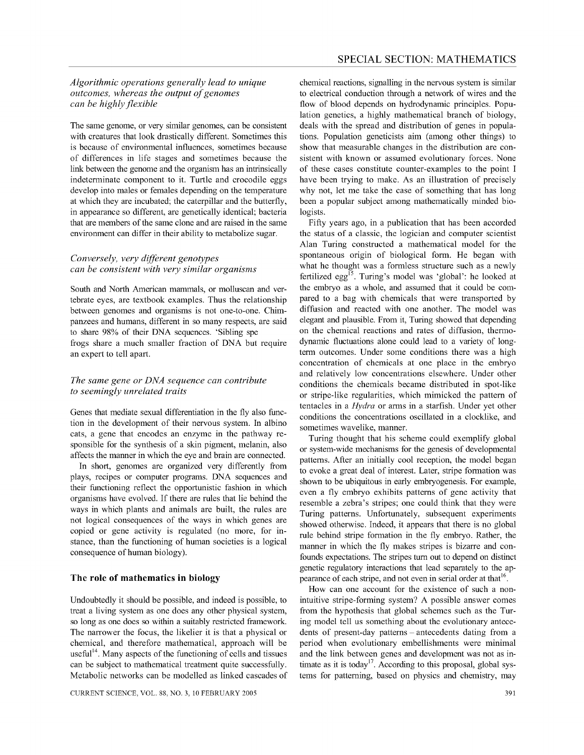## *Algorithmic operations generally lead to unique outcomes, whereas the output of genomes can be highly flexible*

The same genome, or very similar genomes, can be consistent with creatures that look drastically different. Sometimes this is because of environmental influences, sometimes because of differences in life stages and sometimes because the link between the genome and the organism has an intrinsically indeterminate component to it. Turtle and crocodile eggs develop into males or females depending on the temperature at which they are incubated; the caterpillar and the butterfly, in appearance so different, are genetically identical; bacteria that are members of the same clone and are raised in the same environment can differ in their ability to metabolize sugar.

# *Conversely, very different genotypes can be consistent with very similar organisms*

South and North American mammals, or molluscan and vertebrate eyes, are textbook examples. Thus the relationship between genomes and organisms is not one-to-one. Chimpanzees and humans, different in so many respects, are said to share 98% of their DNA sequences. 'Sibling spe frogs share a much smaller fraction of DNA but require an expert to tell apart.

# *The same gene or DNA sequence can contribute to seemingly unrelated traits*

Genes that mediate sexual differentiation in the fly also function in the development of their nervous system. In albino cats, a gene that encodes an enzyme in the pathway responsible for the synthesis of a skin pigment, melanin, also affects the manner in which the eye and brain are connected.

In short, genomes are organized very differently from plays, recipes or computer programs. DNA sequences and their functioning reflect the opportunistic fashion in which organisms have evolved. If there are rules that lie behind the ways in which plants and animals are built, the rules are not logical consequences of the ways in which genes are copied or gene activity is regulated (no more, for instance, than the functioning of human societies is a logical consequence of human biology).

# **The role of mathematics in biology**

Undoubtedly it should be possible, and indeed is possible, to treat a living system as one does any other physical system, so long as one does so within a suitably restricted framework. The narrower the focus, the likelier it is that a physical or chemical, and therefore mathematical, approach will be useful<sup>14</sup>. Many aspects of the functioning of cells and tissues can be subject to mathematical treatment quite successfully. Metabolic networks can be modelled as linked cascades of

chemical reactions, signalling in the nervous system is similar to electrical conduction through a network of wires and the flow of blood depends on hydrodynamic principles. Population genetics, a highly mathematical branch of biology, deals with the spread and distribution of genes in populations. Population geneticists aim (among other things) to show that measurable changes in the distribution are consistent with known or assumed evolutionary forces. None of these cases constitute counter-examples to the point I have been trying to make. As an illustration of precisely why not, let me take the case of something that has long been a popular subject among mathematically minded biologists.

Fifty years ago, in a publication that has been accorded the status of a classic, the logician and computer scientist Alan Turing constructed a mathematical model for the spontaneous origin of biological form. He began with what he thought was a formless structure such as a newly fertilized egg<sup>15</sup>. Turing's model was 'global': he looked at the embryo as a whole, and assumed that it could be compared to a bag with chemicals that were transported by diffusion and reacted with one another. The model was elegant and plausible. From it, Turing showed that depending on the chemical reactions and rates of diffusion, thermodynamic fluctuations alone could lead to a variety of longterm outcomes. Under some conditions there was a high concentration of chemicals at one place in the embryo and relatively low concentrations elsewhere. Under other conditions the chemicals became distributed in spot-like or stripe-like regularities, which mimicked the pattern of tentacles in a *Hydra* or arms in a starfish. Under yet other conditions the concentrations oscillated in a clocklike, and sometimes wavelike, manner.

Turing thought that his scheme could exemplify global or system-wide mechanisms for the genesis of developmental pattems. After an initially cool reception, the model began to evoke a great deal of interest. Later, stripe formation was shown to be ubiquitous in early embryogenesis. For example, even a fly embryo exhibits patterns of gene activity that resemble a zebra's stripes; one could think that they were Turing patterns. Unfortunately, subsequent experiments showed otherwise. Indeed, it appears that there is no global rule behind stripe formation in the fly embryo. Rather, the manner in which the fly makes stripes is bizarre and confounds expectations. The stripes turn out to depend on distinct genetic regulatory interactions that lead separately to the appearance of each stripe, and not even in serial order at that<sup>16</sup>.

How can one account for the existence of such a nonintuitive stripe-forming system? A possible answer comes from the hypothesis that global schemes such as the Turing model tell us something about the evolutionary antecedents of present-day patterns – antecedents dating from a period when evolutionary embellishments were minimal and the link between genes and development was not as intimate as it is today<sup>17</sup>. According to this proposal, global systems for patterning, based on physics and chemistry, may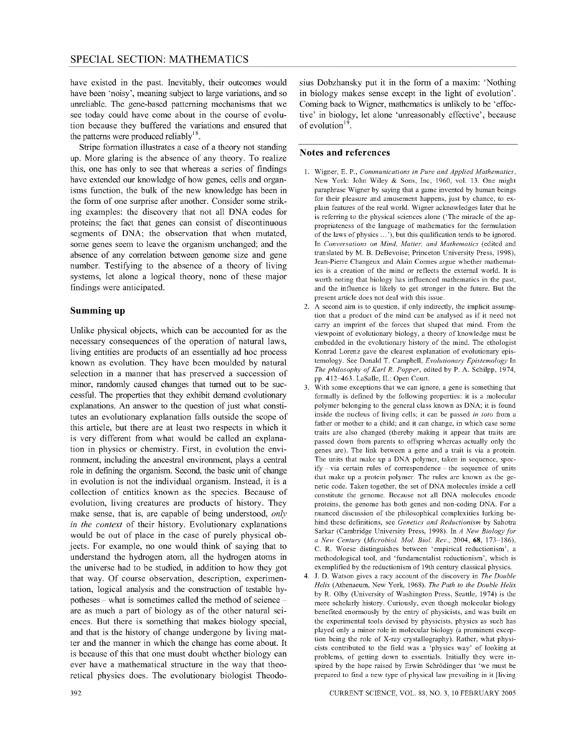have existed in the past. Inevitably, their outcomes would have been 'noisy', meaning subject to large variations, and so unreliable. The gene-based patterning mechanisms that we see today could have come about in the course of evolution because they buffered the variations and ensured that the patterns were produced reliably  $18$ .

Stripe formation illustrates a case of a theory not standing up. More glaring is the absence of any theory. To realize this, one has only to see that whereas a series of findings have extended our knowledge of how genes, cells and organisms function, the bulk of the new knowledge has been in the form of one surprise after another. Consider some striking examples: the discovery that not all DNA codes for proteins; the fact that genes can consist of discontinuous segments of DNA; the observation that when mutated, some genes seem to leave the organism unchanged; and the absence of any correlation between genome size and gene number. Testifying to the absence of a theory of living systems, let alone a logical theory, none of these major findings were anticipated.

## **Summing up**

Unlike physical objects, which can be accounted for as the necessary consequences of the operation of natural laws, living entities are products of an essentially ad hoc process known as evolution. They have been moulded by natural selection in a manner that has preserved a succession of minor, randomly caused changes that turned out to be successful. The properties that they exhibit demand evolutionary explanations. An answer to the question of just what constitutes an evolutionary explanation falls outside the scope of this article, but there are at least two respects in which it is very different from what would be called an explanation in physics or chemistry. First, in evolution the environment, including the ancestral environment, plays a central role in defining the organism. Second, the basic unit of change in evolution is not the individual organism. Instead, it is a collection of entities known as the species. Because of evolution, living creatures are products of history. They make sense, that is, are capable of being understood, *only in the context* of their history. Evolutionary explanations would be out of place in the case of purely physical objects. For example, no one would think of saying that to understand the hydrogen atom, all the hydrogen atoms in the universe had to be studied, in addition to how they got that way. Of course observation, description, experimentation, logical analysis and the construction of testable hypotheses – what is sometimes called the method of science – are as much a part of biology as of the other natural sciences. But there is something that makes biology special, and that is the history of change undergone by living matter and the manner in which the change has come about. It is because of this that one must doubt whether biology can ever have a mathematical structure in the way that theoretical physics does. The evolutionary biologist Theodo-

sius Dobzhansky put it in the form of a maxim: 'Nothing in biology makes sense except in the light of evolution'. Coming back to Wigner, mathematics is unlikely to be 'effective' in biology, let alone 'unreasonably effective', because of evolution<sup>19</sup>.

#### **Notes and references**

- 1. Wigner, E. P., *Communications in Pure and Applied Mathematics,*  New York: John Wiley & Sons, Inc, 1960, vol. 13. One might paraphrase Wigner by saying that a game invented by human beings for their pleasure and amusement happens, just by chance, to explain features of the real world. Wigner acknowledges later that he is referring to the physical sciences alone ('The miracle of the appropriateness of the language of mathematics for the formulation of the laws of physics ... '), but this qualification tends to be ignored. In *Conversations on Mind. Matter. and Mathematics* (edited and translated by M. B. DeBevoise; Princeton University Press, 1998), Jean-Pierre Changeux and Alain Connes argue whether mathematics is a creation of the mind or reflects the external world. It is worth noting that biology has influenced mathematics in the past, and the influence is likely to get stronger in the future. But the present article does not deal with this issue.
- 2. A second aim is to question, if only indirectly, the implicit assumption that a product of the mind can be analysed as if it need not carry an imprint of the forces that shaped that mind. From the viewpoint of evolutionary biology, a theory of knowledge must be embedded in the evolutionary history of the mind. The ethologist Konrad Lorenz gave the clearest explanation of evolutionary epistemology. See Donald T. Campbell, *Evolutionary Epistemology* In *The philosophy of Karl R. Popper,* edited by P. A. Schilpp, 1974, pp. 412-463. LaSalle, II.: Open Court.
- 3. With some exceptions that we can ignore, a gene is something that formally is defined by the following properties: it is a molecular polymer belonging to the general class known as DNA; it is found inside the nucleus of living cells; it can be passed *in toto* from a father or mother to a child; and it can change, in which case some traits are also changed (thereby making it appear that traits are passed down from parents to offspring whereas actually only the genes are). The link between a gene and a trait is via a protein. The units that make up a DNA polymer, taken in sequence, specify - via certain rules of correspondence - the sequence of units that make up a protein polymer. The rules are known as the genetic code. Taken together, the set of DNA molecules inside a cell constitute the genome. Because not all DNA molecules encode proteins, the genome has both genes and non-coding DNA. For a nuanced discussion of the philosophical complexities lurking behind these definitions, see *Genetics and Reductionism* by Sahotra Sarkar (Cambridge University Press, 1998). In *A New Biology for a New Century (Microbiol. Mol. BioI. Rev.,* 2004, 68, 173-186), C. R. Woese distinguishes between 'empirical reductionism', a methodological tool, and 'fundamentalist reductionism', which is exemplified by the reductionism of 19th century classical physics.
- 4. J. D. Watson gives a racy account of the discovery in *The Double Helix* (Athenaeum, New York, 1968). *The Path to the Double Helix*  by R. Olby (University of Washington Press, Seattle, 1974) is the more scholarly history. Curiously, even though molecular biology benefited enormously by the entry of physicists, and was built on the experimental tools devised by physicists, physics as such has played only a minor role in molecular biology (a prominent exception being the role of X-ray crystallography). Rather, what physicists contributed to the field was a 'physics way' of looking at problems, of getting down to essentials. Initially they were inspired by the hope raised by Erwin Schrodinger that 'we must be prepared to find a new type of physical law prevailing in it [living